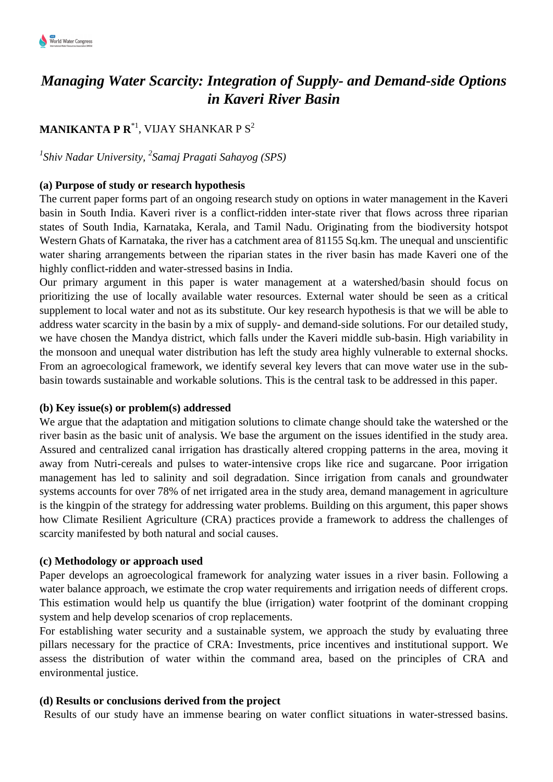# *Managing Water Scarcity: Integration of Supply- and Demand-side Options in Kaveri River Basin*

# **MANIKANTA P R\*1, VIJAY SHANKAR P S** $^2$

## *1 Shiv Nadar University, <sup>2</sup> Samaj Pragati Sahayog (SPS)*

#### **(a) Purpose of study or research hypothesis**

The current paper forms part of an ongoing research study on options in water management in the Kaveri basin in South India. Kaveri river is a conflict-ridden inter-state river that flows across three riparian states of South India, Karnataka, Kerala, and Tamil Nadu. Originating from the biodiversity hotspot Western Ghats of Karnataka, the river has a catchment area of 81155 Sq.km. The unequal and unscientific water sharing arrangements between the riparian states in the river basin has made Kaveri one of the highly conflict-ridden and water-stressed basins in India.

Our primary argument in this paper is water management at a watershed/basin should focus on prioritizing the use of locally available water resources. External water should be seen as a critical supplement to local water and not as its substitute. Our key research hypothesis is that we will be able to address water scarcity in the basin by a mix of supply- and demand-side solutions. For our detailed study, we have chosen the Mandya district, which falls under the Kaveri middle sub-basin. High variability in the monsoon and unequal water distribution has left the study area highly vulnerable to external shocks. From an agroecological framework, we identify several key levers that can move water use in the subbasin towards sustainable and workable solutions. This is the central task to be addressed in this paper.

#### **(b) Key issue(s) or problem(s) addressed**

We argue that the adaptation and mitigation solutions to climate change should take the watershed or the river basin as the basic unit of analysis. We base the argument on the issues identified in the study area. Assured and centralized canal irrigation has drastically altered cropping patterns in the area, moving it away from Nutri-cereals and pulses to water-intensive crops like rice and sugarcane. Poor irrigation management has led to salinity and soil degradation. Since irrigation from canals and groundwater systems accounts for over 78% of net irrigated area in the study area, demand management in agriculture is the kingpin of the strategy for addressing water problems. Building on this argument, this paper shows how Climate Resilient Agriculture (CRA) practices provide a framework to address the challenges of scarcity manifested by both natural and social causes.

#### **(c) Methodology or approach used**

Paper develops an agroecological framework for analyzing water issues in a river basin. Following a water balance approach, we estimate the crop water requirements and irrigation needs of different crops. This estimation would help us quantify the blue (irrigation) water footprint of the dominant cropping system and help develop scenarios of crop replacements.

For establishing water security and a sustainable system, we approach the study by evaluating three pillars necessary for the practice of CRA: Investments, price incentives and institutional support. We assess the distribution of water within the command area, based on the principles of CRA and environmental justice.

#### **(d) Results or conclusions derived from the project**

Results of our study have an immense bearing on water conflict situations in water-stressed basins.